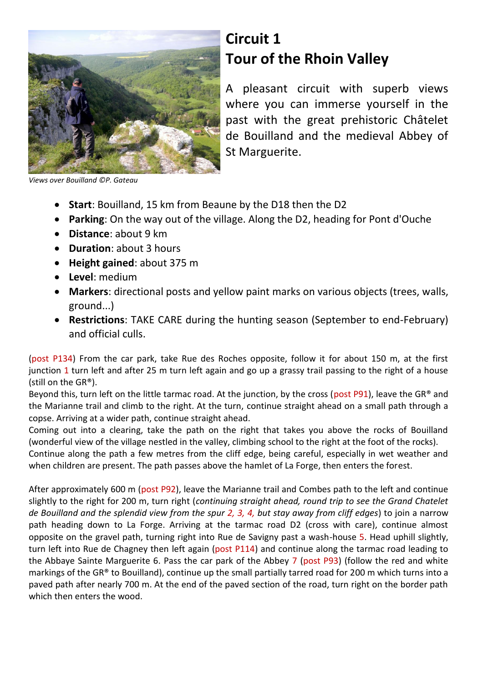

## **Circuit 1 Tour of the Rhoin Valley**

A pleasant circuit with superb views where you can immerse yourself in the past with the great prehistoric Châtelet de Bouilland and the medieval Abbey of St Marguerite.

*Views over Bouilland ©P. Gateau*

- **Start**: Bouilland, 15 km from Beaune by the D18 then the D2
- **Parking**: On the way out of the village. Along the D2, heading for Pont d'Ouche
- **Distance**: about 9 km
- **Duration**: about 3 hours
- **Height gained**: about 375 m
- **Level**: medium
- **Markers**: directional posts and yellow paint marks on various objects (trees, walls, ground...)
- **Restrictions**: TAKE CARE during the hunting season (September to end-February) and official culls.

(post P134) From the car park, take Rue des Roches opposite, follow it for about 150 m, at the first junction 1 turn left and after 25 m turn left again and go up a grassy trail passing to the right of a house (still on the GR®).

Beyond this, turn left on the little tarmac road. At the junction, by the cross (post P91), leave the GR® and the Marianne trail and climb to the right. At the turn, continue straight ahead on a small path through a copse. Arriving at a wider path, continue straight ahead.

Coming out into a clearing, take the path on the right that takes you above the rocks of Bouilland (wonderful view of the village nestled in the valley, climbing school to the right at the foot of the rocks).

Continue along the path a few metres from the cliff edge, being careful, especially in wet weather and when children are present. The path passes above the hamlet of La Forge, then enters the forest.

After approximately 600 m (post P92), leave the Marianne trail and Combes path to the left and continue slightly to the right for 200 m, turn right (*continuing straight ahead, round trip to see the Grand Chatelet de Bouilland and the splendid view from the spur 2, 3, 4, but stay away from cliff edges*) to join a narrow path heading down to La Forge. Arriving at the tarmac road D2 (cross with care), continue almost opposite on the gravel path, turning right into Rue de Savigny past a wash-house 5. Head uphill slightly, turn left into Rue de Chagney then left again (post P114) and continue along the tarmac road leading to the Abbaye Sainte Marguerite 6. Pass the car park of the Abbey 7 (post P93) (follow the red and white markings of the GR® to Bouilland), continue up the small partially tarred road for 200 m which turns into a paved path after nearly 700 m. At the end of the paved section of the road, turn right on the border path which then enters the wood.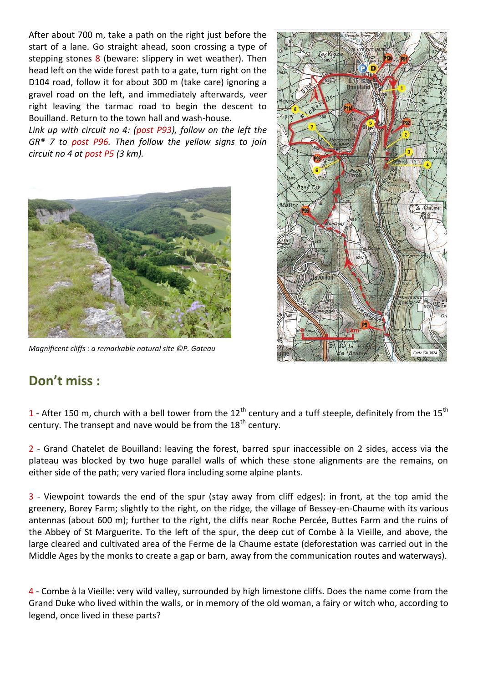After about 700 m, take a path on the right just before the start of a lane. Go straight ahead, soon crossing a type of stepping stones 8 (beware: slippery in wet weather). Then head left on the wide forest path to a gate, turn right on the D104 road, follow it for about 300 m (take care) ignoring a gravel road on the left, and immediately afterwards, veer right leaving the tarmac road to begin the descent to Bouilland. Return to the town hall and wash-house.

*Link up with circuit no 4: (post P93), follow on the left the GR® 7 to post P96. Then follow the yellow signs to join circuit no 4 at post P5 (3 km).*



*Magnificent cliffs : a remarkable natural site ©P. Gateau*



## **Don't miss :**

1 - After 150 m, church with a bell tower from the 12<sup>th</sup> century and a tuff steeple, definitely from the 15<sup>th</sup> century. The transept and nave would be from the  $18<sup>th</sup>$  century.

2 - Grand Chatelet de Bouilland: leaving the forest, barred spur inaccessible on 2 sides, access via the plateau was blocked by two huge parallel walls of which these stone alignments are the remains, on either side of the path; very varied flora including some alpine plants.

3 - Viewpoint towards the end of the spur (stay away from cliff edges): in front, at the top amid the greenery, Borey Farm; slightly to the right, on the ridge, the village of Bessey-en-Chaume with its various antennas (about 600 m); further to the right, the cliffs near Roche Percée, Buttes Farm and the ruins of the Abbey of St Marguerite. To the left of the spur, the deep cut of Combe à la Vieille, and above, the large cleared and cultivated area of the Ferme de la Chaume estate (deforestation was carried out in the Middle Ages by the monks to create a gap or barn, away from the communication routes and waterways).

4 - Combe à la Vieille: very wild valley, surrounded by high limestone cliffs. Does the name come from the Grand Duke who lived within the walls, or in memory of the old woman, a fairy or witch who, according to legend, once lived in these parts?